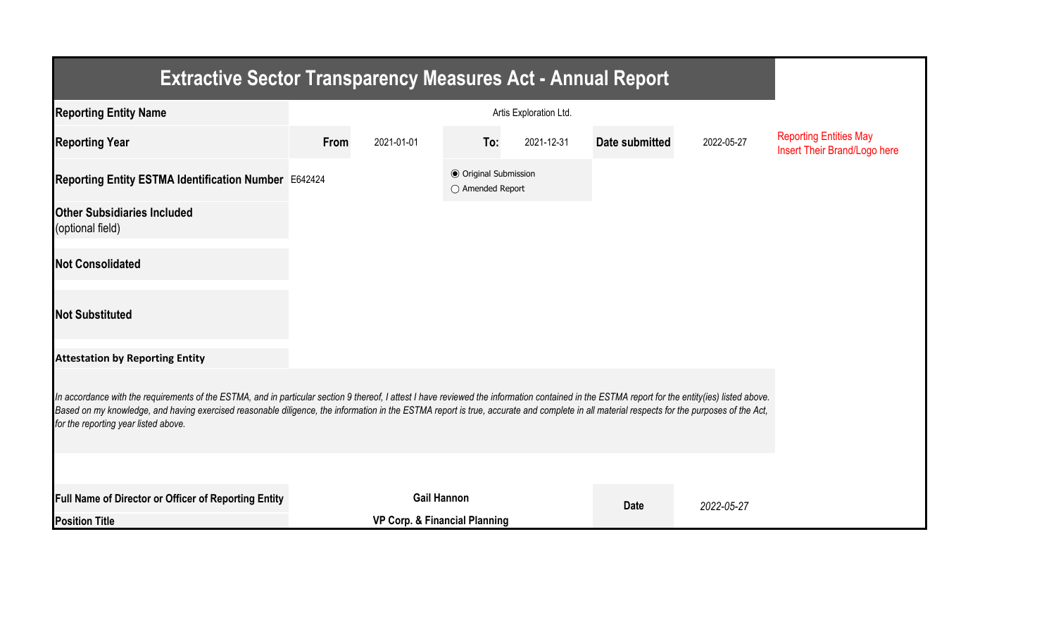| Extractive Sector Transparency Measures Act - Annual Report                                                                                                                                                                                                                                                                                                                                                                           |      |                               |                                                  |            |                |            |                                                               |  |  |  |
|---------------------------------------------------------------------------------------------------------------------------------------------------------------------------------------------------------------------------------------------------------------------------------------------------------------------------------------------------------------------------------------------------------------------------------------|------|-------------------------------|--------------------------------------------------|------------|----------------|------------|---------------------------------------------------------------|--|--|--|
| <b>Reporting Entity Name</b>                                                                                                                                                                                                                                                                                                                                                                                                          |      |                               |                                                  |            |                |            |                                                               |  |  |  |
| <b>Reporting Year</b>                                                                                                                                                                                                                                                                                                                                                                                                                 | From | 2021-01-01                    | To:                                              | 2021-12-31 | Date submitted | 2022-05-27 | <b>Reporting Entities May</b><br>Insert Their Brand/Logo here |  |  |  |
| Reporting Entity ESTMA Identification Number E642424                                                                                                                                                                                                                                                                                                                                                                                  |      |                               | <b>◎</b> Original Submission<br>○ Amended Report |            |                |            |                                                               |  |  |  |
| <b>Other Subsidiaries Included</b><br>(optional field)                                                                                                                                                                                                                                                                                                                                                                                |      |                               |                                                  |            |                |            |                                                               |  |  |  |
| <b>Not Consolidated</b>                                                                                                                                                                                                                                                                                                                                                                                                               |      |                               |                                                  |            |                |            |                                                               |  |  |  |
| <b>Not Substituted</b>                                                                                                                                                                                                                                                                                                                                                                                                                |      |                               |                                                  |            |                |            |                                                               |  |  |  |
| <b>Attestation by Reporting Entity</b>                                                                                                                                                                                                                                                                                                                                                                                                |      |                               |                                                  |            |                |            |                                                               |  |  |  |
| In accordance with the requirements of the ESTMA, and in particular section 9 thereof, I attest I have reviewed the information contained in the ESTMA report for the entity(ies) listed above.<br>Based on my knowledge, and having exercised reasonable diligence, the information in the ESTMA report is true, accurate and complete in all material respects for the purposes of the Act,<br>for the reporting year listed above. |      |                               |                                                  |            |                |            |                                                               |  |  |  |
|                                                                                                                                                                                                                                                                                                                                                                                                                                       |      |                               |                                                  |            |                |            |                                                               |  |  |  |
| <b>Full Name of Director or Officer of Reporting Entity</b>                                                                                                                                                                                                                                                                                                                                                                           |      | <b>Gail Hannon</b>            |                                                  |            | <b>Date</b>    | 2022-05-27 |                                                               |  |  |  |
| <b>Position Title</b>                                                                                                                                                                                                                                                                                                                                                                                                                 |      | VP Corp. & Financial Planning |                                                  |            |                |            |                                                               |  |  |  |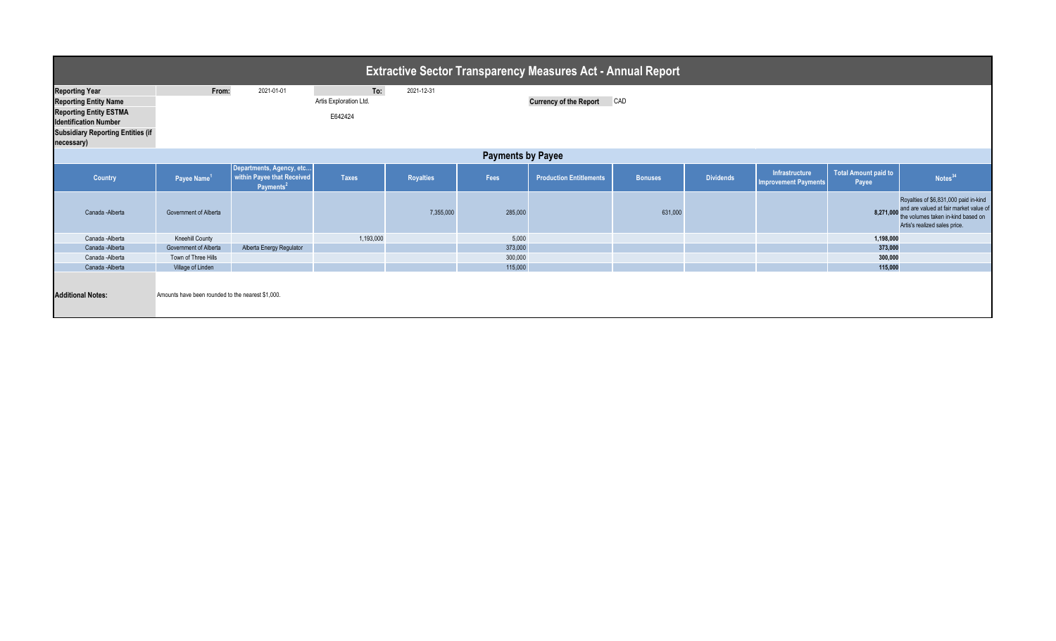| <b>Extractive Sector Transparency Measures Act - Annual Report</b> |                                                   |                                                                                 |                        |                  |         |                                |                |                  |                                                      |                               |                                                                                                                                                        |
|--------------------------------------------------------------------|---------------------------------------------------|---------------------------------------------------------------------------------|------------------------|------------------|---------|--------------------------------|----------------|------------------|------------------------------------------------------|-------------------------------|--------------------------------------------------------------------------------------------------------------------------------------------------------|
| <b>Reporting Year</b>                                              | From:                                             | 2021-01-01                                                                      | To:                    | 2021-12-31       |         |                                |                |                  |                                                      |                               |                                                                                                                                                        |
| <b>Reporting Entity Name</b>                                       |                                                   |                                                                                 | Artis Exploration Ltd. |                  |         | <b>Currency of the Report</b>  | CAD            |                  |                                                      |                               |                                                                                                                                                        |
| <b>Reporting Entity ESTMA</b><br><b>Identification Number</b>      |                                                   |                                                                                 | E642424                |                  |         |                                |                |                  |                                                      |                               |                                                                                                                                                        |
| <b>Subsidiary Reporting Entities (if</b><br>necessary)             |                                                   |                                                                                 |                        |                  |         |                                |                |                  |                                                      |                               |                                                                                                                                                        |
| <b>Payments by Payee</b>                                           |                                                   |                                                                                 |                        |                  |         |                                |                |                  |                                                      |                               |                                                                                                                                                        |
| <b>Country</b>                                                     | Payee Name <sup>1</sup>                           | Departments, Agency, etc<br>within Payee that Received<br>Payments <sup>2</sup> | <b>Taxes</b>           | <b>Royalties</b> | Fees    | <b>Production Entitlements</b> | <b>Bonuses</b> | <b>Dividends</b> | <b>Infrastructure</b><br><b>Improvement Payments</b> | Total Amount paid to<br>Payee | Notes <sup>34</sup>                                                                                                                                    |
| Canada - Alberta                                                   | Government of Alberta                             |                                                                                 |                        | 7,355,000        | 285,000 |                                | 631,000        |                  |                                                      | 8,271,000                     | Royalties of \$6,831,000 paid in-kind<br>and are valued at fair market value of<br>the volumes taken in-kind based on<br>Artis's realized sales price. |
| Canada - Alberta                                                   | <b>Kneehill County</b>                            |                                                                                 | 1,193,000              |                  | 5,000   |                                |                |                  |                                                      | 1,198,000                     |                                                                                                                                                        |
| Canada - Alberta                                                   | Government of Alberta                             | Alberta Energy Regulator                                                        |                        |                  | 373,000 |                                |                |                  |                                                      | 373,000                       |                                                                                                                                                        |
| Canada - Alberta                                                   | Town of Three Hills                               |                                                                                 |                        |                  | 300,000 |                                |                |                  |                                                      | 300,000                       |                                                                                                                                                        |
| Canada - Alberta                                                   | Village of Linden                                 |                                                                                 |                        |                  | 115,000 |                                |                |                  |                                                      | 115,000                       |                                                                                                                                                        |
| <b>Additional Notes:</b>                                           | Amounts have been rounded to the nearest \$1,000. |                                                                                 |                        |                  |         |                                |                |                  |                                                      |                               |                                                                                                                                                        |